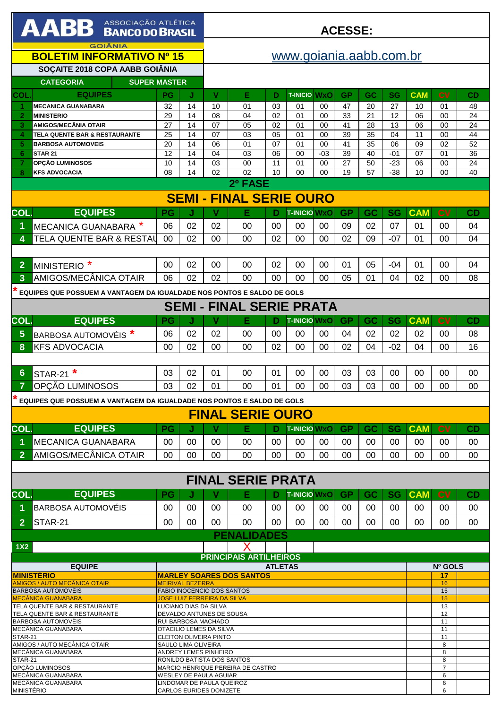| <b>AABB</b> ASSOCIAÇÃO ATLÉTICA                                                                                     |                                                                                                           |           |                       | <b>ACESSE:</b>                                           |                                 |          |                           |                 |                     |                 |                 |                       |                 |           |
|---------------------------------------------------------------------------------------------------------------------|-----------------------------------------------------------------------------------------------------------|-----------|-----------------------|----------------------------------------------------------|---------------------------------|----------|---------------------------|-----------------|---------------------|-----------------|-----------------|-----------------------|-----------------|-----------|
| <b>GOIÂNIA</b><br><b>BOLETIM INFORMATIVO Nº 15</b>                                                                  |                                                                                                           |           |                       |                                                          | www.goiania.aabb.com.br         |          |                           |                 |                     |                 |                 |                       |                 |           |
|                                                                                                                     | SOÇAITE 2018 COPA AABB GOIÂNIA                                                                            |           |                       |                                                          |                                 |          |                           |                 |                     |                 |                 |                       |                 |           |
|                                                                                                                     | <b>CATEGORIA</b><br><b>SUPER MASTER</b>                                                                   |           |                       |                                                          |                                 |          |                           |                 |                     |                 |                 |                       |                 |           |
| COL                                                                                                                 | <b>EQUIPES</b><br><b>MECANICA GUANABARA</b>                                                               | PG<br>32  | J<br>14               | v<br>10                                                  | Е<br>01                         | D<br>03  | <b>T-INICIO WXO</b><br>01 | 00              | <b>GP</b><br>47     | <b>GC</b><br>20 | <b>SG</b><br>27 | <b>CAM</b><br>10      | <b>CV</b><br>01 | CD<br>48  |
| $\overline{2}$                                                                                                      | <b>MINISTERIO</b>                                                                                         | 29        | 14                    | 08                                                       | 04                              | 02       | 01                        | 00              | 33                  | 21              | 12              | 06                    | 00              | 24        |
| 3                                                                                                                   | <b>AMIGOS/MECÂNIA OTAIR</b>                                                                               | 27        | 14                    | 07                                                       | 05                              | 02       | 01                        | 00              | 41                  | 28              | 13              | 06                    | 00              | 24        |
| 4<br>5.                                                                                                             | TELA QUENTE BAR & RESTAURANTE<br><b>BARBOSA AUTOMOVEIS</b>                                                | 25<br>20  | $\overline{14}$<br>14 | 07<br>06                                                 | 03<br>01                        | 05<br>07 | 0 <sub>1</sub><br>01      | 00<br>00        | 39<br>41            | 35<br>35        | 04<br>06        | $\overline{11}$<br>09 | 00<br>02        | 44<br>52  |
| 6                                                                                                                   | <b>STAR 21</b>                                                                                            | 12        | 14                    | 04                                                       | 03                              | 06       | 00                        | $-03$           | 39                  | 40              | $-01$           | 07                    | 01              | 36        |
|                                                                                                                     | OPÇÃO LUMINOSOS                                                                                           | 10        | 14                    | 03                                                       | 00                              | 11       | 01                        | 00              | $\overline{27}$     | 50              | $-23$           | 06                    | 00              | 24        |
| 8                                                                                                                   | <b>KFS ADVOCACIA</b>                                                                                      | 08        | 14                    | 02                                                       | 02                              | 10       | 00                        | 00              | 19                  | 57              | $-38$           | 10                    | 00              | 40        |
|                                                                                                                     | 2º FASE<br><b>SEMI - FINAL SERIE OURO</b>                                                                 |           |                       |                                                          |                                 |          |                           |                 |                     |                 |                 |                       |                 |           |
|                                                                                                                     |                                                                                                           |           |                       |                                                          |                                 |          |                           |                 |                     |                 |                 |                       |                 |           |
| COL.                                                                                                                | <b>EQUIPES</b>                                                                                            | PG        | J                     | V                                                        | Е                               | D        | <b>T-INICIO WxO</b>       |                 | <b>GP</b>           | GC              | <b>SG</b>       | <b>CAM</b>            | c <sub>V</sub>  | <b>CD</b> |
| 1.                                                                                                                  | MECANICA GUANABARA <sup>*</sup>                                                                           | 06        | 02                    | 02                                                       | 00                              | 00       | $00 \,$                   | 00              | 09                  | 02              | 07              | 01                    | 00              | 04        |
| 4                                                                                                                   | TELA QUENTE BAR & RESTAL                                                                                  | 00        | 02                    | 00                                                       | 00                              | 02       | 00                        | 00              | 02                  | 09              | $-07$           | 01                    | 00              | 04        |
|                                                                                                                     |                                                                                                           |           |                       |                                                          |                                 |          |                           |                 |                     |                 |                 |                       |                 |           |
| $\overline{2}$                                                                                                      | MINISTERIO <sup>*</sup>                                                                                   | 00        | 02                    | 00                                                       | 00                              | 02       | 00                        | 00              | 01                  | 05              | $-04$           | 01                    | 00              | 04        |
| 3                                                                                                                   | AMIGOS/MECÂNICA OTAIR                                                                                     | 06        | 02                    | 02                                                       | 00                              | 00       | 00                        | $00\,$          | 05                  | 01              | 04              | 02                    | 00              | 08        |
|                                                                                                                     | EQUIPES QUE POSSUEM A VANTAGEM DA IGUALDADE NOS PONTOS E SALDO DE GOLS                                    |           |                       |                                                          |                                 |          |                           |                 |                     |                 |                 |                       |                 |           |
|                                                                                                                     |                                                                                                           |           |                       |                                                          | <b>SEMI - FINAL SERIE PRATA</b> |          |                           |                 |                     |                 |                 |                       |                 |           |
| COL.                                                                                                                | <b>EQUIPES</b>                                                                                            | <b>PG</b> | J                     | V                                                        | Е                               | D        | <b>T-INICIO WXO</b>       |                 | <b>GP</b>           | GC              | <b>SG</b>       | <b>CAM</b>            | <b>CV</b>       | CD        |
| 5                                                                                                                   | <b>BARBOSA AUTOMOVÉIS<sup>*</sup></b>                                                                     | 06        | 02                    | 02                                                       | 00                              | 00       | 00                        | 00              | 04                  | 02              | 02              | 02                    | 00              | 08        |
| 8                                                                                                                   | <b>KFS ADVOCACIA</b>                                                                                      | 00        | 02                    | 00                                                       | 00                              | 02       | 00                        | 00              | 02                  | 04              | $-02$           | 04                    | 00              | 16        |
|                                                                                                                     |                                                                                                           |           |                       |                                                          |                                 |          |                           |                 |                     |                 |                 |                       |                 |           |
| 6                                                                                                                   | STAR-21 <sup>*</sup>                                                                                      | 03        | 02                    | 01                                                       | 00                              | 01       | 00                        | 00              | 03                  | 03              | 00              | 00                    | 00              | 00        |
| $\overline{7}$                                                                                                      | OPCÃO LUMINOSOS                                                                                           | 03        | 02                    | 01                                                       | 00                              | 01       | 00                        | 00              | 03                  | 03              | 00              | 00                    | 00              | 00        |
|                                                                                                                     | EQUIPES QUE POSSUEM A VANTAGEM DA IGUALDADE NOS PONTOS E SALDO DE GOLS                                    |           |                       |                                                          |                                 |          |                           |                 |                     |                 |                 |                       |                 |           |
|                                                                                                                     |                                                                                                           |           |                       |                                                          | <b>FINAL SERIE OURO</b>         |          |                           |                 |                     |                 |                 |                       |                 |           |
| COL.                                                                                                                | <b>EQUIPES</b>                                                                                            | PG        | J                     | ٧                                                        | Е                               | D        | <b>T-INICIO WXO</b>       |                 | <b>GP</b>           | <b>GC</b>       | <b>SG</b>       | <b>CAM</b>            | <b>CV</b>       | CD        |
| 1.                                                                                                                  | <b>IMECANICA GUANABARA</b>                                                                                | 00        | $00\,$                | 00                                                       | 00                              | $00 \,$  | $00 \,$                   | $00 \,$         | 00                  | 00              | $00 \,$         | $00 \,$               | 00              | $00\,$    |
| $\overline{2}$                                                                                                      | AMIGOS/MECÂNICA OTAIR                                                                                     | $00 \,$   | 00                    | $00\,$                                                   | $00 \,$                         | $00 \,$  | $00\,$                    | $00 \,$         | $00\,$              | $00\,$          | 00              | $00 \,$               | $00\,$          | $00\,$    |
|                                                                                                                     |                                                                                                           |           |                       |                                                          |                                 |          |                           |                 |                     |                 |                 |                       |                 |           |
|                                                                                                                     |                                                                                                           |           |                       |                                                          | <b>FINAL SERIE PRATA</b>        |          |                           |                 |                     |                 |                 |                       |                 |           |
| COL.                                                                                                                | <b>EQUIPES</b>                                                                                            | PG        |                       | v                                                        | Е                               | D        | <b>T-INICIO WxO</b>       |                 | <b>GP</b>           | <b>GC</b>       | <b>SG</b>       | <b>CAM</b>            | c <sub>V</sub>  | CD        |
| 1.                                                                                                                  | <b>BARBOSA AUTOMOVÉIS</b>                                                                                 | 00        | $00\,$                | 00                                                       | $00 \,$                         | 00       | 00                        | $00\,$          | 00                  | 00              | 00              | $00 \,$               | 00              | 00        |
| 2 <sup>1</sup>                                                                                                      | STAR-21                                                                                                   | 00        | $00\,$                | $00\,$                                                   | $00 \,$                         | $00 \,$  | $00 \,$                   | 00 <sup>°</sup> | $00\,$              | $00\,$          | 00              | $00 \,$               | $00\,$          | 00        |
|                                                                                                                     |                                                                                                           |           |                       |                                                          | <b>PENALIDADES</b>              |          |                           |                 |                     |                 |                 |                       |                 |           |
| 1X2                                                                                                                 |                                                                                                           |           |                       |                                                          |                                 |          |                           |                 |                     |                 |                 |                       |                 |           |
|                                                                                                                     |                                                                                                           |           |                       |                                                          | <b>PRINCIPAIS ARTILHEIROS</b>   |          |                           |                 |                     |                 |                 |                       |                 |           |
| <b>EQUIPE</b><br><b>ATLETAS</b><br><b>MINISTÈRIO</b><br><b>MARLEY SOARES DOS SANTOS</b>                             |                                                                                                           |           |                       |                                                          |                                 |          |                           |                 |                     | Nº GOLS<br>17   |                 |                       |                 |           |
| <b>AMIGOS / AUTO MECÂNICA OTAIR</b><br><b>MEIRIVAL BEZERRA</b><br><b>FABIO INOCENCIO DOS SANTOS</b>                 |                                                                                                           |           |                       |                                                          |                                 |          |                           |                 |                     | 16<br>15        |                 |                       |                 |           |
| <b>BARBOSA AUTOMOVÈIS</b><br><b>MECÂNICA GUANABARA</b><br><b>JOSE LUIZ FERREIRA DA SILVA</b>                        |                                                                                                           |           |                       |                                                          |                                 |          |                           |                 |                     |                 |                 |                       | 15              |           |
| TELA QUENTE BAR & RESTAURANTE<br>LUCIANO DIAS DA SILVA<br>TELA QUENTE BAR & RESTAURANTE<br>DEVALDO ANTUNES DE SOUSA |                                                                                                           |           |                       |                                                          |                                 |          |                           |                 | 13<br>12            |                 |                 |                       |                 |           |
| BARBOSA AUTOMOVÈIS<br>RUI BARBOSA MACHADO                                                                           |                                                                                                           |           |                       |                                                          |                                 |          |                           |                 |                     |                 |                 |                       | 11              |           |
| MECÂNICA GUANABARA<br>STAR-21                                                                                       |                                                                                                           |           |                       | OTACILIO LEMES DA SILVA<br><b>CLEITON OLIVEIRA PINTO</b> |                                 |          |                           |                 |                     |                 |                 |                       | 11<br>11        |           |
|                                                                                                                     | AMIGOS / AUTO MECÂNICA OTAIR<br>SAULO LIMA OLIVEIRA<br>MECÂNICA GUANABARA<br><b>ANDREY LEMES PINHEIRO</b> |           |                       |                                                          |                                 |          |                           |                 | 8<br>8              |                 |                 |                       |                 |           |
| STAR-21<br>RONILDO BATISTA DOS SANTOS                                                                               |                                                                                                           |           |                       |                                                          |                                 |          |                           |                 |                     |                 |                 | 8                     |                 |           |
| OPCÃO LUMINOSOS<br>MARCIO HENRIQUE PEREIRA DE CASTRO<br>MECÂNICA GUANABARA<br>WESLEY DE PAULA AGUIAR                |                                                                                                           |           |                       |                                                          |                                 |          |                           |                 | $\overline{7}$<br>6 |                 |                 |                       |                 |           |
|                                                                                                                     | MECÂNICA GUANABARA                                                                                        |           |                       | LINDOMAR DE PAULA QUEIROZ                                |                                 |          |                           |                 |                     |                 |                 |                       | 6<br>6          |           |
|                                                                                                                     | <b>MINISTÉRIO</b><br><b>CARLOS EURIDES DONIZETE</b>                                                       |           |                       |                                                          |                                 |          |                           |                 |                     |                 |                 |                       |                 |           |